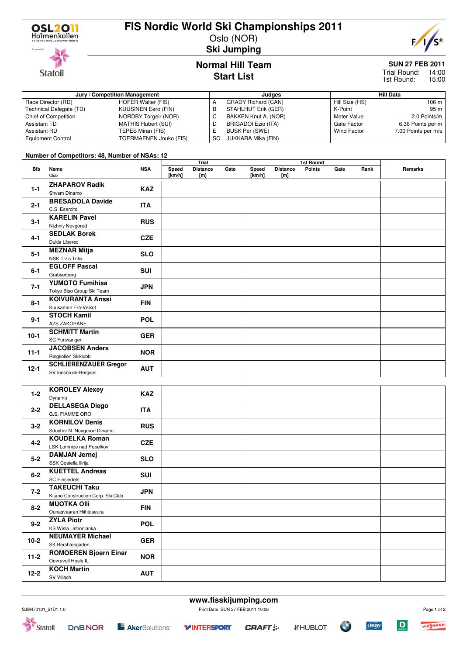

**Statoil** 

# **FIS Nordic World Ski Championships 2011**

Oslo (NOR) **Ski Jumping**



**SUN 27 FEB 2011**

Trial Round: 14:00 15:00 1st Round:

## **Normal Hill Team Start List**

### **Jury / Competition Management Judges Hill Data** Race Director (RD) HOFER Walter (FIS)<br>Technical Delegate (TD) KUUSINEN Eero (FIN) Technical Delegate (TD) Chief of Competition NORDBY Torgeir (NOR) Assistant TD MATHIS Hubert (SUI)<br>Assistant RD TEPES Miran (FIS) TEPES Miran (FIS) Equipment Control TOERMAENEN Jouko (FIS) A GRADY Richard (CAN)<br>B STAHLHUT Erik (GER) B STAHLHUT Erik (GER)<br>C BAKKEN Knut A. (NOR BAKKEN Knut A. (NOR) D BRIGADOI Ezio (ITA)<br>E BUSK Per (SWE) BUSK Per (SWE) SC JUKKARA Mika (FIN) Hill Size (HS) 106 m<br>K-Point 95 m K-Point<br>Meter Value 2.0 Points/m Gate Factor 6.36 Points per m<br>Wind Factor 7.00 Points per m/s 7.00 Points per m/s

### **Number of Competitors: 48, Number of NSAs: 12**

|            |                              |            | Trial  |                 |      |        |                 |               |      |      |         |
|------------|------------------------------|------------|--------|-----------------|------|--------|-----------------|---------------|------|------|---------|
| <b>Bib</b> | Name                         | <b>NSA</b> | Speed  | <b>Distance</b> | Gate | Speed  | <b>Distance</b> | <b>Points</b> | Gate | Rank | Remarks |
|            | Club                         |            | [km/h] | [m]             |      | [km/h] | [m]             |               |      |      |         |
| $1 - 1$    | <b>ZHAPAROV Radik</b>        | KAZ        |        |                 |      |        |                 |               |      |      |         |
|            | Shysm Dinamo                 |            |        |                 |      |        |                 |               |      |      |         |
| $2 - 1$    | <b>BRESADOLA Davide</b>      | <b>ITA</b> |        |                 |      |        |                 |               |      |      |         |
|            | C.S. Esercito                |            |        |                 |      |        |                 |               |      |      |         |
| $3 - 1$    | <b>KARELIN Pavel</b>         | <b>RUS</b> |        |                 |      |        |                 |               |      |      |         |
|            | Nizhniy Novgorod             |            |        |                 |      |        |                 |               |      |      |         |
| $4 - 1$    | <b>SEDLAK Borek</b>          | <b>CZE</b> |        |                 |      |        |                 |               |      |      |         |
|            | Dukla Liberec                |            |        |                 |      |        |                 |               |      |      |         |
| $5 - 1$    | <b>MEZNAR Mitja</b>          | <b>SLO</b> |        |                 |      |        |                 |               |      |      |         |
|            | <b>NSK Trzic Trifix</b>      |            |        |                 |      |        |                 |               |      |      |         |
| $6 - 1$    | <b>EGLOFF Pascal</b>         | <b>SUI</b> |        |                 |      |        |                 |               |      |      |         |
|            | Grabserberg                  |            |        |                 |      |        |                 |               |      |      |         |
| $7 - 1$    | <b>YUMOTO Fumihisa</b>       | <b>JPN</b> |        |                 |      |        |                 |               |      |      |         |
|            | Tokyo Biso Group Ski Team    |            |        |                 |      |        |                 |               |      |      |         |
| $8 - 1$    | <b>KOIVURANTA Anssi</b>      | <b>FIN</b> |        |                 |      |        |                 |               |      |      |         |
|            | Kuusamon Erä-Veikot          |            |        |                 |      |        |                 |               |      |      |         |
| $9 - 1$    | <b>STOCH Kamil</b>           | <b>POL</b> |        |                 |      |        |                 |               |      |      |         |
|            | <b>AZS ZAKOPANE</b>          |            |        |                 |      |        |                 |               |      |      |         |
| $10-1$     | <b>SCHMITT Martin</b>        | <b>GER</b> |        |                 |      |        |                 |               |      |      |         |
|            | SC Furtwangen                |            |        |                 |      |        |                 |               |      |      |         |
| $11 - 1$   | <b>JACOBSEN Anders</b>       | <b>NOR</b> |        |                 |      |        |                 |               |      |      |         |
|            | Ringkollen Skiklubb          |            |        |                 |      |        |                 |               |      |      |         |
| $12 - 1$   | <b>SCHLIERENZAUER Gregor</b> | <b>AUT</b> |        |                 |      |        |                 |               |      |      |         |
|            | SV Innsbruck-Bergisel        |            |        |                 |      |        |                 |               |      |      |         |

| $1-2$    | <b>KOROLEV Alexey</b>              | KAZ        |  |  |
|----------|------------------------------------|------------|--|--|
|          | Dynamo                             |            |  |  |
| $2 - 2$  | <b>DELLASEGA Diego</b>             | <b>ITA</b> |  |  |
|          | G.S. FIAMME ORO                    |            |  |  |
| $3 - 2$  | <b>KORNILOV Denis</b>              | <b>RUS</b> |  |  |
|          | Sdushor N. Novgorod Dinamo         |            |  |  |
| $4 - 2$  | <b>KOUDELKA Roman</b>              | <b>CZE</b> |  |  |
|          | LSK Lomnice nad Popelkov           |            |  |  |
|          | <b>DAMJAN Jernej</b>               | <b>SLO</b> |  |  |
| $5 - 2$  | SSK Costella Ilirija               |            |  |  |
| $6 - 2$  | <b>KUETTEL Andreas</b>             | <b>SUI</b> |  |  |
|          | SC Einsiedeln                      |            |  |  |
| $7 - 2$  | <b>TAKEUCHI Taku</b>               | <b>JPN</b> |  |  |
|          | Kitano Construction Corp. Ski Club |            |  |  |
| $8 - 2$  | <b>MUOTKA OIII</b>                 | <b>FIN</b> |  |  |
|          | Ounasvaaran Hiihtoseura            |            |  |  |
| $9 - 2$  | <b>ZYLA Piotr</b>                  | <b>POL</b> |  |  |
|          | KS Wisla Ustronianka               |            |  |  |
| $10-2$   | <b>NEUMAYER Michael</b>            | <b>GER</b> |  |  |
|          | SK Berchtesgaden                   |            |  |  |
| $11-2$   | <b>ROMOEREN Bjoern Einar</b>       | <b>NOR</b> |  |  |
|          | Oevrevoll Hosle IL                 |            |  |  |
| $12 - 2$ | <b>KOCH Martin</b>                 | <b>AUT</b> |  |  |
|          | SV Villach                         |            |  |  |

| SJM470101 51D1 1.0 | Print Date SUN 27 FEB 2011 10:06 |
|--------------------|----------------------------------|
|                    |                                  |

**www.fisskijumping.com**



 $\mathbf D$ 

**LEROY** 

Ő